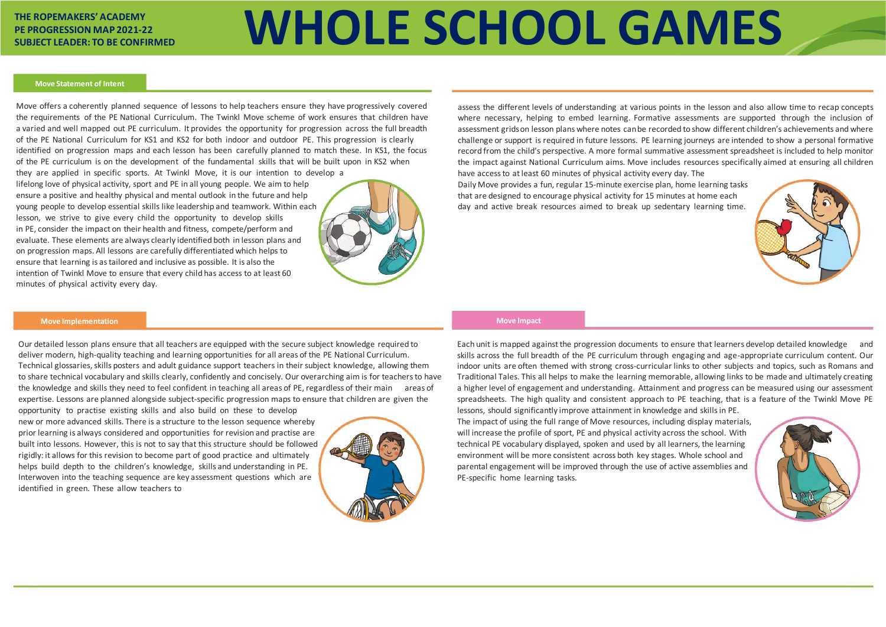# **THE ROPEMAKERS' ACADEMY PE PROGRESSION MAP 2021-22**

# THE ROPEMAKERS' ACADEMY<br>PE PROGRESSION MAP 2021-22<br>SUBJECT LEADER: TO BE CONFIRMED

Move offers a coherently planned sequence of lessons to help teachers ensure they have progressively covered the requirements of the PE National Curriculum. The Twinkl Move scheme of work ensures that children have a varied and well mapped out PE curriculum. It provides the opportunity for progression across the full breadth of the PE National Curriculum for KS1 and KS2 for both indoor and outdoor PE. This progression is clearly identified on progression maps and each lesson has been carefully planned to match these. In KS1, the focus of the PE curriculum is on the development of the fundamental skills that will be built upon in KS2 when

they are applied in specific sports. At Twinkl Move, it is our intention to develop a lifelong love of physical activity, sport and PE in all young people. We aim to help ensure a positive and healthy physical and mental outlook in the future and help young people to develop essential skills like leadership and teamwork. Within each lesson, we strive to give every child the opportunity to develop skills in PE, consider the impact on their health and fitness, compete/perform and evaluate. These elements are always clearly identified both in lesson plans and on progression maps. All lessons are carefully differentiated which helps to ensure that learning is as tailored and inclusive as possible. It is also the intention of Twinkl Move to ensure that every child has access to at least 60 minutes of physical activity every day.



assess the different levels of understanding at various points in the lesson and also allow time to recap concepts where necessary, helping to embed learning. Formative assessments are supported through the inclusion of assessment grids on lesson plans where notes can be recorded to show different children's achievements and where challenge or support is required in future lessons. PE learning journeys are intended to show a personal formative record from the child's perspective. A more formal summative assessment spreadsheet is included to help monitor the impact against National Curriculum aims. Move includes resources specifically aimed at ensuring all children have access to at least 60 minutes of physical activity every day. The Daily Move provides a fun, regular 15-minute exercise plan, home learning tasks that are designed to encourage physical activity for 15 minutes at home each day and active break resources aimed to break up sedentary learning time.

# **Move Implementation**

Our detailed lesson plans ensure that all teachers are equipped with the secure subject knowledge required to deliver modern, high-quality teaching and learning opportunities for all areas of the PE National Curriculum. Technical glossaries, skills posters and adult guidance support teachers in their subject knowledge, allowing them to share technical vocabulary and skills clearly, confidently and concisely. Our overarching aim is for teachers to have the knowledge and skills they need to feel confident in teaching all areas of PE, regardless of their main areas of expertise. Lessons are planned alongside subject-specific progression maps to ensure that children are given the

opportunity to practise existing skills and also build on these to develop new or more advanced skills. There is a structure to the lesson sequence whereby prior learning is always considered and opportunities for revision and practise are built into lessons. However, this is not to say that this structure should be followed rigidly: it allows for this revision to become part of good practice and ultimately helps build depth to the children's knowledge, skills and understanding in PE. Interwoven into the teaching sequence are key assessment questions which are identified in green. These allow teachers to



Each unit is mapped against the progression documents to ensure that learners develop detailed knowledge and skills across the full breadth of the PE curriculum through engaging and age-appropriate curriculum content. Our indoor units are often themed with strong cross-curricular links to other subjects and topics, such as Romans and Traditional Tales. This all helps to make the learning memorable, allowing links to be made and ultimately creating a higher level of engagement and understanding. Attainment and progress can be measured using our assessment spreadsheets. The high quality and consistent approach to PE teaching, that is a feature of the Twinkl Move PE lessons, should significantly improve attainment in knowledge and skills in PE. The impact of using the full range of Move resources, including display materials, will increase the profile of sport, PE and physical activity across the school. With technical PE vocabulary displayed, spoken and used by all learners, the learning environment will be more consistent across both key stages. Whole school and parental engagement will be improved through the use of active assemblies and PE-specific home learning tasks.







## **Move Statement of Intent**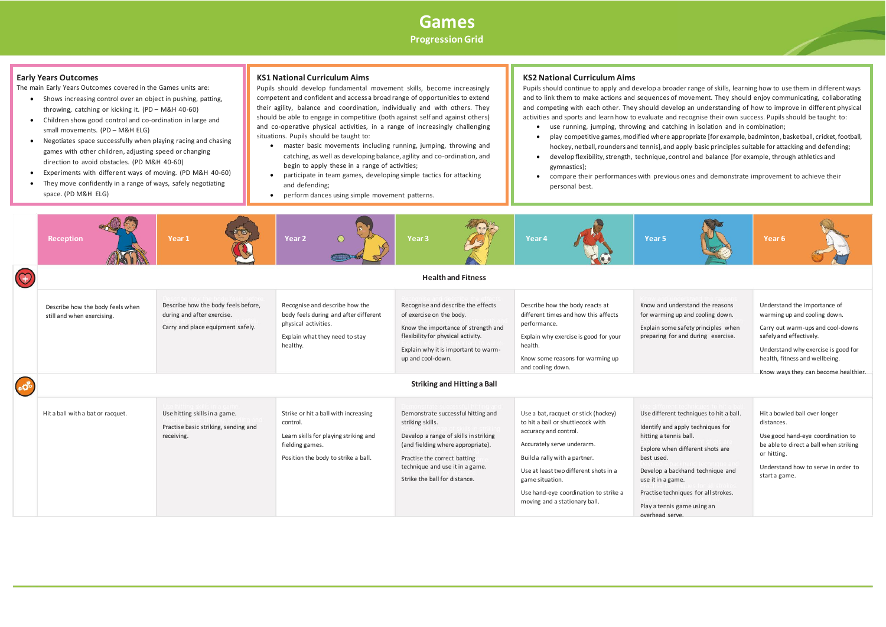

# **KS2 National Curriculum Aims**

|                | <b>Reception</b>                                               | Year <sub>1</sub>                                                                                      | Year <sub>2</sub><br>$\odot$                                                                                                                        | Year <sub>3</sub>                                                                                                                                                                                                                        | Year <sub>4</sub>                                                                                                                                                                                                                                                                                       | Year <sub>5</sub>                                                                                                                                                                                                                                                                                           | Year <sub>6</sub>                                                                        |  |
|----------------|----------------------------------------------------------------|--------------------------------------------------------------------------------------------------------|-----------------------------------------------------------------------------------------------------------------------------------------------------|------------------------------------------------------------------------------------------------------------------------------------------------------------------------------------------------------------------------------------------|---------------------------------------------------------------------------------------------------------------------------------------------------------------------------------------------------------------------------------------------------------------------------------------------------------|-------------------------------------------------------------------------------------------------------------------------------------------------------------------------------------------------------------------------------------------------------------------------------------------------------------|------------------------------------------------------------------------------------------|--|
| $\circledcirc$ |                                                                |                                                                                                        |                                                                                                                                                     | <b>Health and Fitness</b>                                                                                                                                                                                                                |                                                                                                                                                                                                                                                                                                         |                                                                                                                                                                                                                                                                                                             |                                                                                          |  |
|                | Describe how the body feels when<br>still and when exercising. | Describe how the body feels before,<br>during and after exercise.<br>Carry and place equipment safely. | Recognise and describe how the<br>body feels during and after different<br>physical activities.<br>Explain what they need to stay<br>healthy.       | Recognise and describe the effects<br>of exercise on the body.<br>Know the importance of strength and<br>flexibility for physical activity.<br>Explain why it is important to warm-<br>up and cool-down.                                 | Describe how the body reacts at<br>different times and how this affects<br>performance.<br>Explain why exercise is good for your<br>health.<br>Know some reasons for warming up<br>and cooling down.                                                                                                    | Know and understand the reasons<br>for warming up and cooling down.<br>Explain some safety principles when<br>preparing for and during exercise.                                                                                                                                                            | Understa<br>warming<br>Carry out<br>safelyan<br>Understa<br>health, fi<br>Know wa        |  |
| $\bullet$      | <b>Striking and Hitting a Ball</b>                             |                                                                                                        |                                                                                                                                                     |                                                                                                                                                                                                                                          |                                                                                                                                                                                                                                                                                                         |                                                                                                                                                                                                                                                                                                             |                                                                                          |  |
|                | Hit a ball with a bat or racquet.                              | Use hitting skills in a game.<br>Practise basic striking, sending and<br>receiving.                    | Strike or hit a ball with increasing<br>control.<br>Learn skills for playing striking and<br>fielding games.<br>Position the body to strike a ball. | Demonstrate successful hitting and<br>striking skills.<br>Develop a range of skills in striking<br>(and fielding where appropriate).<br>Practise the correct batting<br>technique and use it in a game.<br>Strike the ball for distance. | Use a bat, racquet or stick (hockey)<br>to hit a ball or shuttlecock with<br>accuracy and control.<br>Accurately serve underarm.<br>Build a rally with a partner.<br>Use at least two different shots in a<br>game situation.<br>Use hand-eye coordination to strike a<br>moving and a stationary ball. | Use different techniques to hit a ball.<br>Identify and apply techniques for<br>hitting a tennis ball.<br>Explore when different shots are<br>best used.<br>Develop a backhand technique and<br>use it in a game.<br>Practise techniques for all strokes.<br>Play a tennis game using an<br>overhead serve. | Hit a bow<br>distances<br>Use good<br>be able to<br>or hitting<br>Understa<br>start a ga |  |

Pupils should continue to apply and develop a broader range of skills, learning how to use them in different ways and to link them to make actions and sequences of movement. They should enjoy communicating, collaborating and competing with each other. They should develop an understanding of how to improve in different physical activities and sports and learn how to evaluate and recognise their own success. Pupils should be taught to: • use running, jumping, throwing and catching in isolation and in combination;

• play competitive games, modified where appropriate [for example, badminton, basketball, cricket, football, hockey, netball, rounders and tennis], and apply basic principles suitable for attacking and defending; • develop flexibility, strength, technique, control and balance [for example, through athletics and

• compare their performances with previous ones and demonstrate improvement to achieve their

- 
- 
- gymnastics];
- personal best.

# **KS1 National Curriculum Aims**

Pupils should develop fundamental movement skills, become increasingly competent and confident and access a broad range of opportunities to extend their agility, balance and coordination, individually and with others. They should be able to engage in competitive (both against self and against others) and co-operative physical activities, in a range of increasingly challenging situations. Pupils should be taught to:

- master basic movements including running, jumping, throwing and catching, as well as developing balance, agility and co-ordination, and begin to apply these in a range of activities;
- participate in team games, developing simple tactics for attacking and defending;
- perform dances using simple movement patterns.



The main Early Years Outcomes covered in the Games units are:

- Shows increasing control over an object in pushing, patting, throwing, catching or kicking it. (PD – M&H 40-60)
- Children show good control and co-ordination in large and small movements. (PD – M&H ELG)
- Negotiates space successfully when playing racing and chasing games with other children, adjusting speed or changing direction to avoid obstacles. (PD M&H 40-60)
- Experiments with different ways of moving. (PD M&H 40-60)
- They move confidently in a range of ways, safely negotiating space. (PD M&H ELG)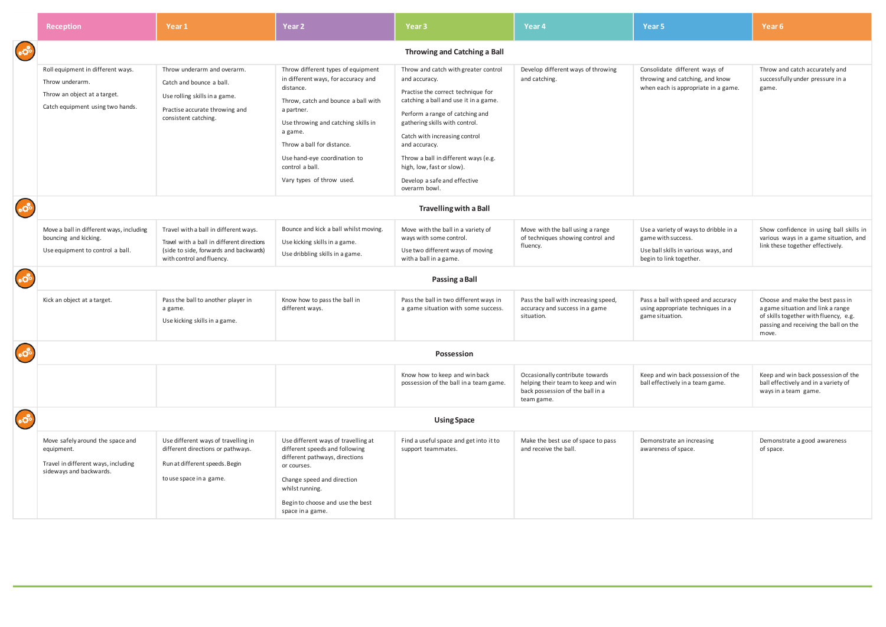|                                                    | <b>Reception</b>                                                                                                         | Year 1                                                                                                                                                     | Year <sub>2</sub>                                                                                                                                                                                                                                                                                           | Year <sub>3</sub>                                                                                                                                                                                                                                                                                                                                                                 | Year <sub>4</sub>                                                                                                       | Year 5                                                                                                                         | Year 6                                                                                                                                                           |  |
|----------------------------------------------------|--------------------------------------------------------------------------------------------------------------------------|------------------------------------------------------------------------------------------------------------------------------------------------------------|-------------------------------------------------------------------------------------------------------------------------------------------------------------------------------------------------------------------------------------------------------------------------------------------------------------|-----------------------------------------------------------------------------------------------------------------------------------------------------------------------------------------------------------------------------------------------------------------------------------------------------------------------------------------------------------------------------------|-------------------------------------------------------------------------------------------------------------------------|--------------------------------------------------------------------------------------------------------------------------------|------------------------------------------------------------------------------------------------------------------------------------------------------------------|--|
| $*{\vec{\Omega}}^5$                                | Throwing and Catching a Ball                                                                                             |                                                                                                                                                            |                                                                                                                                                                                                                                                                                                             |                                                                                                                                                                                                                                                                                                                                                                                   |                                                                                                                         |                                                                                                                                |                                                                                                                                                                  |  |
|                                                    | Roll equipment in different ways.<br>Throw underarm.<br>Throw an object at a target.<br>Catch equipment using two hands. | Throw underarm and overarm.<br>Catch and bounce a ball.<br>Use rolling skills in a game.<br>Practise accurate throwing and<br>consistent catching.         | Throw different types of equipment<br>in different ways, for accuracy and<br>distance.<br>Throw, catch and bounce a ball with<br>a partner.<br>Use throwing and catching skills in<br>a game.<br>Throw a ball for distance.<br>Use hand-eye coordination to<br>control a ball.<br>Vary types of throw used. | Throw and catch with greater control<br>and accuracy.<br>Practise the correct technique for<br>catching a ball and use it in a game.<br>Perform a range of catching and<br>gathering skills with control.<br>Catch with increasing control<br>and accuracy.<br>Throw a ball in different ways (e.g.<br>high, low, fast or slow).<br>Develop a safe and effective<br>overarm bowl. | Develop different ways of throwing<br>and catching.                                                                     | Consolidate different ways of<br>throwing and catching, and know<br>when each is appropriate in a game.                        | Throw and catch accurately and<br>successfully under pressure in a<br>game.                                                                                      |  |
| 40 <sup>8</sup>                                    | <b>Travelling with a Ball</b>                                                                                            |                                                                                                                                                            |                                                                                                                                                                                                                                                                                                             |                                                                                                                                                                                                                                                                                                                                                                                   |                                                                                                                         |                                                                                                                                |                                                                                                                                                                  |  |
|                                                    | Move a ball in different ways, including<br>bouncing and kicking.<br>Use equipment to control a ball.                    | Travel with a ball in different ways.<br>Travel with a ball in different directions<br>(side to side, forwards and backwards)<br>with control and fluency. | Bounce and kick a ball whilst moving.<br>Use kicking skills in a game.<br>Use dribbling skills in a game.                                                                                                                                                                                                   | Move with the ball in a variety of<br>ways with some control.<br>Use two different ways of moving<br>with a ball in a game.                                                                                                                                                                                                                                                       | Move with the ball using a range<br>of techniques showing control and<br>fluency.                                       | Use a variety of ways to dribble in a<br>game with success.<br>Use ball skills in various ways, and<br>begin to link together. | Show confidence in using ball skills in<br>various ways in a game situation, and<br>link these together effectively.                                             |  |
| $*{\vec{\Omega}}^{\circ}$<br><b>Passing a Ball</b> |                                                                                                                          |                                                                                                                                                            |                                                                                                                                                                                                                                                                                                             |                                                                                                                                                                                                                                                                                                                                                                                   |                                                                                                                         |                                                                                                                                |                                                                                                                                                                  |  |
|                                                    | Kick an object at a target.                                                                                              | Pass the ball to another player in<br>a game.<br>Use kicking skills in a game.                                                                             | Know how to pass the ball in<br>different ways.                                                                                                                                                                                                                                                             | Pass the ball in two different ways in<br>a game situation with some success.                                                                                                                                                                                                                                                                                                     | Pass the ball with increasing speed,<br>accuracy and success in a game<br>situation.                                    | Pass a ball with speed and accuracy<br>using appropriate techniques in a<br>game situation.                                    | Choose and make the best pass in<br>a game situation and link a range<br>of skills together with fluency, e.g.<br>passing and receiving the ball on the<br>move. |  |
| $*{\vec{G}}^{\circ}$                               |                                                                                                                          | Possession                                                                                                                                                 |                                                                                                                                                                                                                                                                                                             |                                                                                                                                                                                                                                                                                                                                                                                   |                                                                                                                         |                                                                                                                                |                                                                                                                                                                  |  |
|                                                    |                                                                                                                          |                                                                                                                                                            |                                                                                                                                                                                                                                                                                                             | Know how to keep and win back<br>possession of the ball in a team game.                                                                                                                                                                                                                                                                                                           | Occasionally contribute towards<br>helping their team to keep and win<br>back possession of the ball in a<br>team game. | Keep and win back possession of the<br>ball effectively in a team game.                                                        | Keep and win back possession of the<br>ball effectively and in a variety of<br>ways in a team game.                                                              |  |
| #Oc                                                | <b>Using Space</b>                                                                                                       |                                                                                                                                                            |                                                                                                                                                                                                                                                                                                             |                                                                                                                                                                                                                                                                                                                                                                                   |                                                                                                                         |                                                                                                                                |                                                                                                                                                                  |  |
|                                                    | Move safely around the space and<br>equipment.<br>Travel in different ways, including<br>sideways and backwards.         | Use different ways of travelling in<br>different directions or pathways.<br>Run at different speeds. Begin<br>to use space in a game.                      | Use different ways of travelling at<br>different speeds and following<br>different pathways, directions<br>or courses.<br>Change speed and direction<br>whilst running.<br>Begin to choose and use the best<br>space in a game.                                                                             | Find a useful space and get into it to<br>support teammates.                                                                                                                                                                                                                                                                                                                      | Make the best use of space to pass<br>and receive the ball.                                                             | Demonstrate an increasing<br>awareness of space.                                                                               | Demonstrate a good awareness<br>of space.                                                                                                                        |  |